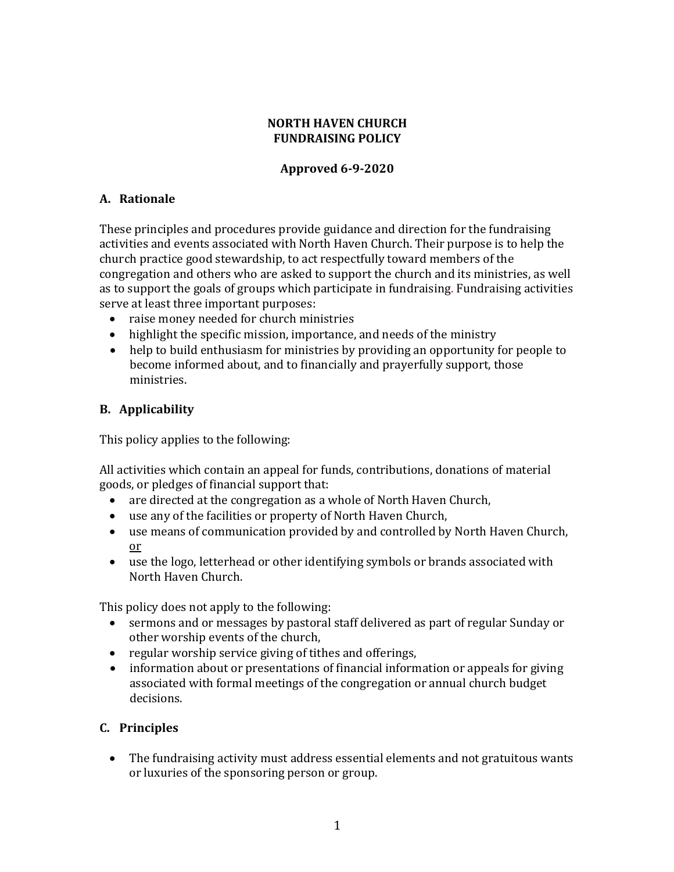#### **NORTH HAVEN CHURCH FUNDRAISING POLICY**

### **Approved 6-9-2020**

### **A. Rationale**

These principles and procedures provide guidance and direction for the fundraising activities and events associated with North Haven Church. Their purpose is to help the church practice good stewardship, to act respectfully toward members of the congregation and others who are asked to support the church and its ministries, as well as to support the goals of groups which participate in fundraising. Fundraising activities serve at least three important purposes:

- raise money needed for church ministries
- highlight the specific mission, importance, and needs of the ministry
- help to build enthusiasm for ministries by providing an opportunity for people to become informed about, and to financially and prayerfully support, those ministries.

### **B. Applicability**

This policy applies to the following:

All activities which contain an appeal for funds, contributions, donations of material goods, or pledges of financial support that:

- are directed at the congregation as a whole of North Haven Church,
- use any of the facilities or property of North Haven Church,
- use means of communication provided by and controlled by North Haven Church, or
- use the logo, letterhead or other identifying symbols or brands associated with North Haven Church.

This policy does not apply to the following:

- sermons and or messages by pastoral staff delivered as part of regular Sunday or other worship events of the church,
- regular worship service giving of tithes and offerings,
- information about or presentations of financial information or appeals for giving associated with formal meetings of the congregation or annual church budget decisions.

# **C. Principles**

• The fundraising activity must address essential elements and not gratuitous wants or luxuries of the sponsoring person or group.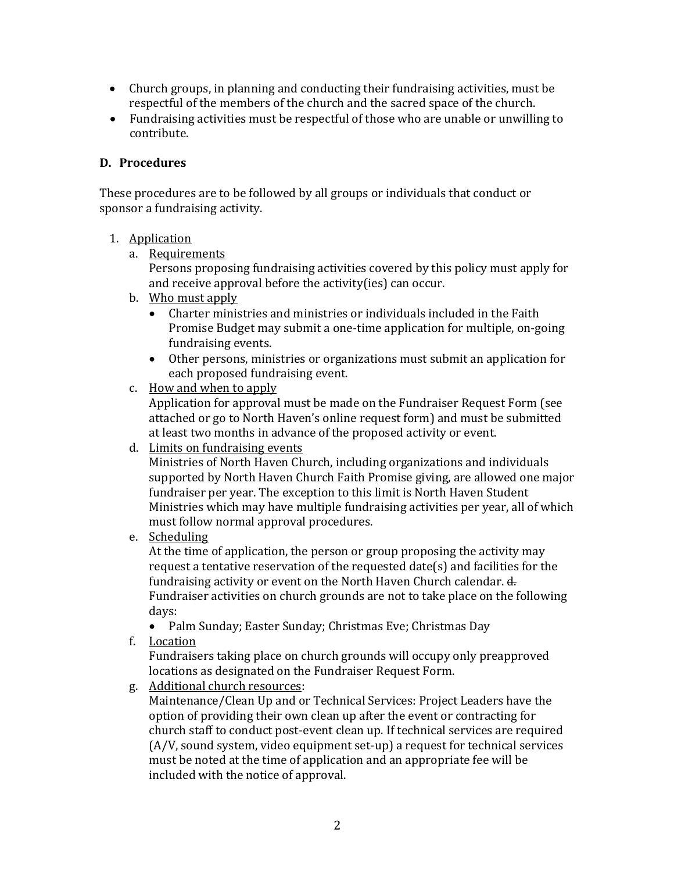- Church groups, in planning and conducting their fundraising activities, must be respectful of the members of the church and the sacred space of the church.
- Fundraising activities must be respectful of those who are unable or unwilling to contribute.

#### **D. Procedures**

These procedures are to be followed by all groups or individuals that conduct or sponsor a fundraising activity.

#### 1. Application

a. Requirements

Persons proposing fundraising activities covered by this policy must apply for and receive approval before the activity(ies) can occur.

- b. Who must apply
	- Charter ministries and ministries or individuals included in the Faith Promise Budget may submit a one-time application for multiple, on-going fundraising events.
	- Other persons, ministries or organizations must submit an application for each proposed fundraising event.
- c. How and when to apply

Application for approval must be made on the Fundraiser Request Form (see attached or go to North Haven's online request form) and must be submitted at least two months in advance of the proposed activity or event.

d. Limits on fundraising events

Ministries of North Haven Church, including organizations and individuals supported by North Haven Church Faith Promise giving, are allowed one major fundraiser per year. The exception to this limit is North Haven Student Ministries which may have multiple fundraising activities per year, all of which must follow normal approval procedures.

e. Scheduling

At the time of application, the person or group proposing the activity may request a tentative reservation of the requested date(s) and facilities for the fundraising activity or event on the North Haven Church calendar. d. Fundraiser activities on church grounds are not to take place on the following days:

- Palm Sunday; Easter Sunday; Christmas Eve; Christmas Day
- f. Location

Fundraisers taking place on church grounds will occupy only preapproved locations as designated on the Fundraiser Request Form.

g. Additional church resources:

Maintenance/Clean Up and or Technical Services: Project Leaders have the option of providing their own clean up after the event or contracting for church staff to conduct post-event clean up. If technical services are required  $(A/V,$  sound system, video equipment set-up) a request for technical services must be noted at the time of application and an appropriate fee will be included with the notice of approval.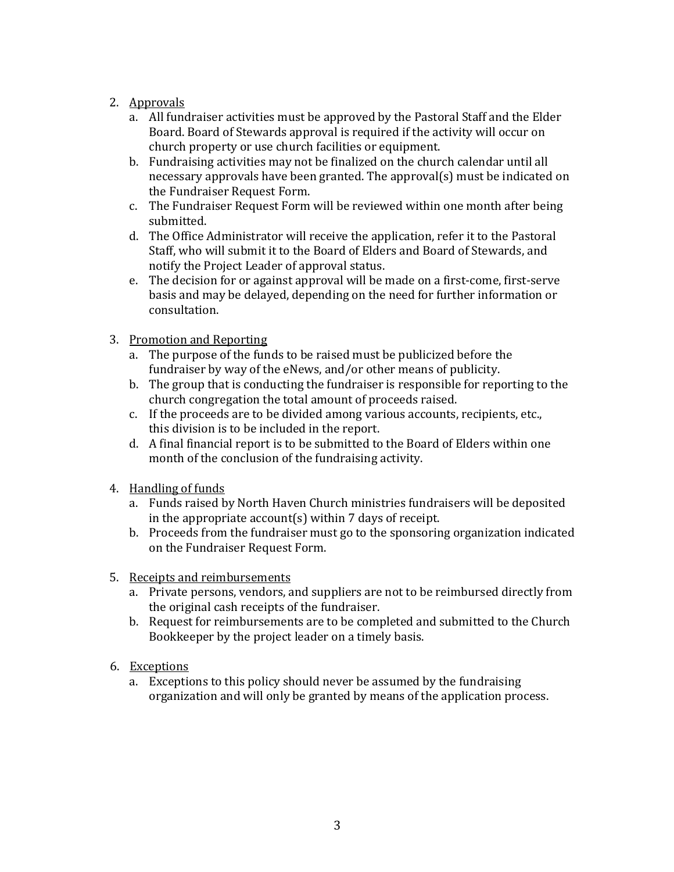- 2. Approvals
	- a. All fundraiser activities must be approved by the Pastoral Staff and the Elder Board. Board of Stewards approval is required if the activity will occur on church property or use church facilities or equipment.
	- b. Fundraising activities may not be finalized on the church calendar until all necessary approvals have been granted. The approval(s) must be indicated on the Fundraiser Request Form.
	- c. The Fundraiser Request Form will be reviewed within one month after being submitted.
	- d. The Office Administrator will receive the application, refer it to the Pastoral Staff, who will submit it to the Board of Elders and Board of Stewards, and notify the Project Leader of approval status.
	- e. The decision for or against approval will be made on a first-come, first-serve basis and may be delayed, depending on the need for further information or consultation.
- 3. Promotion and Reporting
	- a. The purpose of the funds to be raised must be publicized before the fundraiser by way of the eNews, and/or other means of publicity.
	- b. The group that is conducting the fundraiser is responsible for reporting to the church congregation the total amount of proceeds raised.
	- c. If the proceeds are to be divided among various accounts, recipients, etc., this division is to be included in the report.
	- d. A final financial report is to be submitted to the Board of Elders within one month of the conclusion of the fundraising activity.
- 4. Handling of funds
	- a. Funds raised by North Haven Church ministries fundraisers will be deposited in the appropriate  $account(s)$  within  $7$  days of receipt.
	- b. Proceeds from the fundraiser must go to the sponsoring organization indicated on the Fundraiser Request Form.
- 5. Receipts and reimbursements
	- a. Private persons, vendors, and suppliers are not to be reimbursed directly from the original cash receipts of the fundraiser.
	- b. Request for reimbursements are to be completed and submitted to the Church Bookkeeper by the project leader on a timely basis.
- 6. Exceptions
	- a. Exceptions to this policy should never be assumed by the fundraising organization and will only be granted by means of the application process.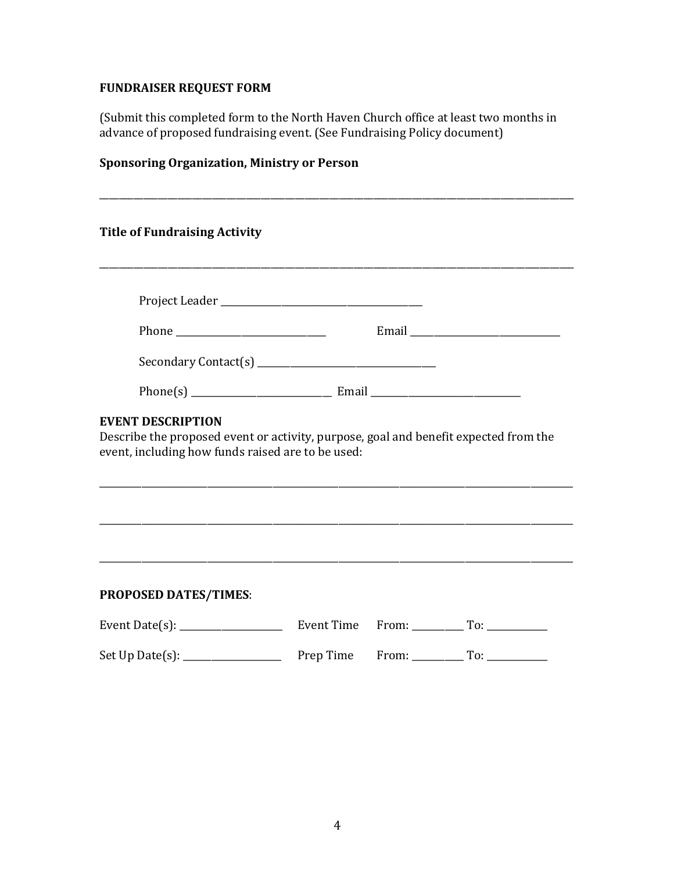# **FUNDRAISER REQUEST FORM**

(Submit this completed form to the North Haven Church office at least two months in advance of proposed fundraising event. (See Fundraising Policy document)

# **Sponsoring Organization, Ministry or Person**

| <b>Title of Fundraising Activity</b>                                                                                                                                  |  |  |                             |  |
|-----------------------------------------------------------------------------------------------------------------------------------------------------------------------|--|--|-----------------------------|--|
|                                                                                                                                                                       |  |  |                             |  |
|                                                                                                                                                                       |  |  |                             |  |
|                                                                                                                                                                       |  |  |                             |  |
|                                                                                                                                                                       |  |  |                             |  |
| <b>EVENT DESCRIPTION</b><br>Describe the proposed event or activity, purpose, goal and benefit expected from the<br>event, including how funds raised are to be used: |  |  |                             |  |
| ,我们也不会有什么。""我们的人,我们也不会有什么?""我们的人,我们也不会有什么?""我们的人,我们也不会有什么?""我们的人,我们也不会有什么?""我们的人                                                                                      |  |  |                             |  |
| <b>PROPOSED DATES/TIMES:</b>                                                                                                                                          |  |  |                             |  |
|                                                                                                                                                                       |  |  | $From: _______ To: _______$ |  |
|                                                                                                                                                                       |  |  |                             |  |